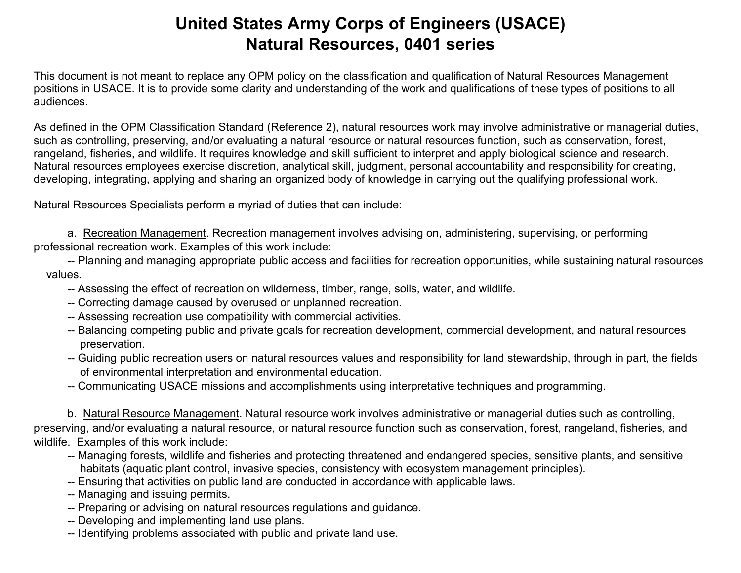This document is not meant to replace any OPM policy on the classification and qualification of Natural Resources Management positions in USACE. It is to provide some clarity and understanding of the work and qualifications of these types of positions to all audiences.

As defined in the OPM Classification Standard (Reference 2), natural resources work may involve administrative or managerial duties, such as controlling, preserving, and/or evaluating a natural resource or natural resources function, such as conservation, forest, rangeland, fisheries, and wildlife. It requires knowledge and skill sufficient to interpret and apply biological science and research. Natural resources employees exercise discretion, analytical skill, judgment, personal accountability and responsibility for creating, developing, integrating, applying and sharing an organized body of knowledge in carrying out the qualifying professional work.

Natural Resources Specialists perform a myriad of duties that can include:

a. Recreation Management. Recreation management involves advising on, administering, supervising, or performing professional recreation work. Examples of this work include:

- -- Planning and managing appropriate public access and facilities for recreation opportunities, while sustaining natural resources values.
	- -- Assessing the effect of recreation on wilderness, timber, range, soils, water, and wildlife.
	- -- Correcting damage caused by overused or unplanned recreation.
	- -- Assessing recreation use compatibility with commercial activities.
	- -- Balancing competing public and private goals for recreation development, commercial development, and natural resources preservation.
	- -- Guiding public recreation users on natural resources values and responsibility for land stewardship, through in part, the fields of environmental interpretation and environmental education.
	- -- Communicating USACE missions and accomplishments using interpretative techniques and programming.

b. Natural Resource Management. Natural resource work involves administrative or managerial duties such as controlling, preserving, and/or evaluating a natural resource, or natural resource function such as conservation, forest, rangeland, fisheries, and wildlife. Examples of this work include:

- -- Managing forests, wildlife and fisheries and protecting threatened and endangered species, sensitive plants, and sensitive habitats (aquatic plant control, invasive species, consistency with ecosystem management principles).
- -- Ensuring that activities on public land are conducted in accordance with applicable laws.
- -- Managing and issuing permits.
- -- Preparing or advising on natural resources regulations and guidance.
- -- Developing and implementing land use plans.
- -- Identifying problems associated with public and private land use.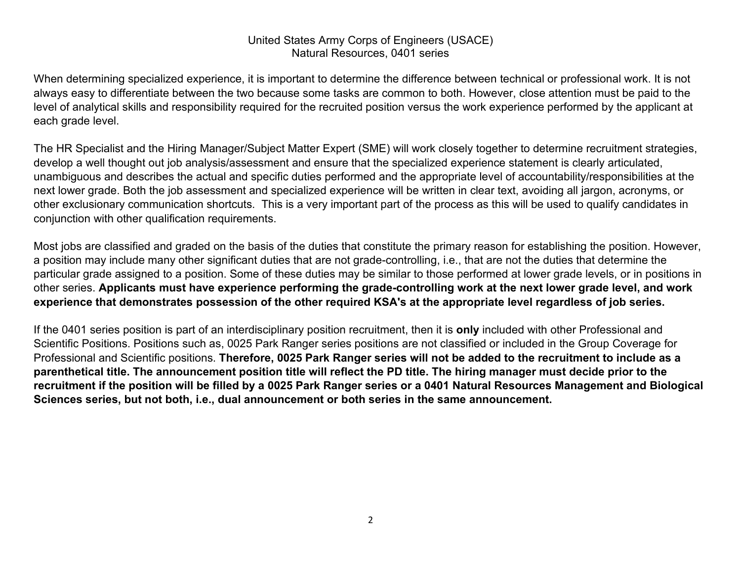When determining specialized experience, it is important to determine the difference between technical or professional work. It is not always easy to differentiate between the two because some tasks are common to both. However, close attention must be paid to the level of analytical skills and responsibility required for the recruited position versus the work experience performed by the applicant at each grade level.

The HR Specialist and the Hiring Manager/Subject Matter Expert (SME) will work closely together to determine recruitment strategies, develop a well thought out job analysis/assessment and ensure that the specialized experience statement is clearly articulated, unambiguous and describes the actual and specific duties performed and the appropriate level of accountability/responsibilities at the next lower grade. Both the job assessment and specialized experience will be written in clear text, avoiding all jargon, acronyms, or other exclusionary communication shortcuts. This is a very important part of the process as this will be used to qualify candidates in conjunction with other qualification requirements.

Most jobs are classified and graded on the basis of the duties that constitute the primary reason for establishing the position. However, a position may include many other significant duties that are not grade-controlling, i.e., that are not the duties that determine the particular grade assigned to a position. Some of these duties may be similar to those performed at lower grade levels, or in positions in other series. Applicants must have experience performing the grade-controlling work at the next lower grade level, and work experience that demonstrates possession of the other required KSA's at the appropriate level regardless of job series.

If the 0401 series position is part of an interdisciplinary position recruitment, then it is **only** included with other Professional and Scientific Positions. Positions such as, 0025 Park Ranger series positions are not classified or included in the Group Coverage for Professional and Scientific positions. **Therefore, 0025 Park Ranger series will not be added to the recruitment to include as a parenthetical title. The announcement position title will reflect the PD title. The hiring manager must decide prior to the recruitment if the position will be filled by a 0025 Park Ranger series or a 0401 Natural Resources Management and Biological Sciences series, but not both, i.e., dual announcement or both series in the same announcement.**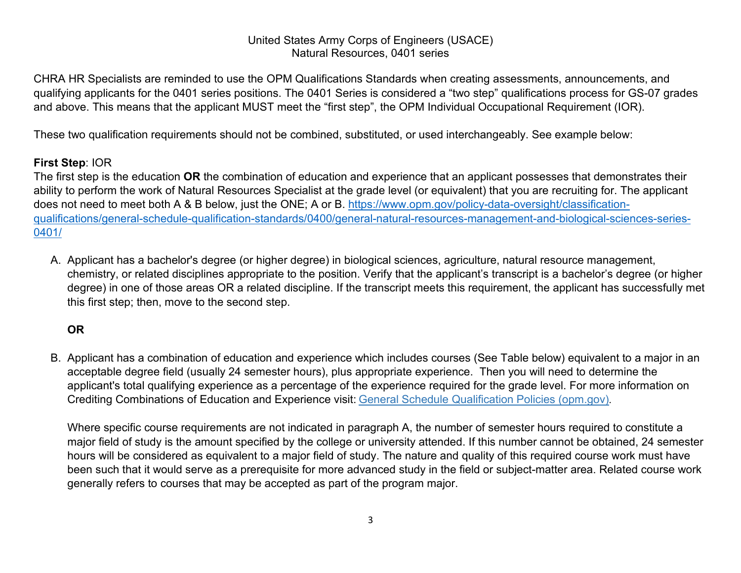CHRA HR Specialists are reminded to use the OPM Qualifications Standards when creating assessments, announcements, and qualifying applicants for the 0401 series positions. The 0401 Series is considered a "two step" qualifications process for GS-07 grades and above. This means that the applicant MUST meet the "first step", the OPM Individual Occupational Requirement (IOR).

These two qualification requirements should not be combined, substituted, or used interchangeably. See example below:

## **First Step**: IOR

The first step is the education **OR** the combination of education and experience that an applicant possesses that demonstrates their ability to perform the work of Natural Resources Specialist at the grade level (or equivalent) that you are recruiting for. The applicant does not need to meet both A & B below, just the ONE; A or B. [https://www.opm.gov/policy-data-oversight/classification](https://www.opm.gov/policy-data-oversight/classification-qualifications/general-schedule-qualification-standards/0400/general-natural-resources-management-and-biological-sciences-series-0401/)[qualifications/general-schedule-qualification-standards/0400/general-natural-resources-management-and-biological-sciences-series-](https://www.opm.gov/policy-data-oversight/classification-qualifications/general-schedule-qualification-standards/0400/general-natural-resources-management-and-biological-sciences-series-0401/)[0401/](https://www.opm.gov/policy-data-oversight/classification-qualifications/general-schedule-qualification-standards/0400/general-natural-resources-management-and-biological-sciences-series-0401/)

A. Applicant has a bachelor's degree (or higher degree) in biological sciences, agriculture, natural resource management, chemistry, or related disciplines appropriate to the position. Verify that the applicant's transcript is a bachelor's degree (or higher degree) in one of those areas OR a related discipline. If the transcript meets this requirement, the applicant has successfully met this first step; then, move to the second step.

# **OR**

B. Applicant has a combination of education and experience which includes courses (See Table below) equivalent to a major in an acceptable degree field (usually 24 semester hours), plus appropriate experience. Then you will need to determine the applicant's total qualifying experience as a percentage of the experience required for the grade level. For more information on Crediting Combinations of Education and Experience visit: [General Schedule Qualification Policies \(opm.gov\)](https://www.opm.gov/policy-data-oversight/classification-qualifications/general-schedule-qualification-policies/#url=app).

Where specific course requirements are not indicated in paragraph A, the number of semester hours required to constitute a major field of study is the amount specified by the college or university attended. If this number cannot be obtained, 24 semester hours will be considered as equivalent to a major field of study. The nature and quality of this required course work must have been such that it would serve as a prerequisite for more advanced study in the field or subject-matter area. Related course work generally refers to courses that may be accepted as part of the program major.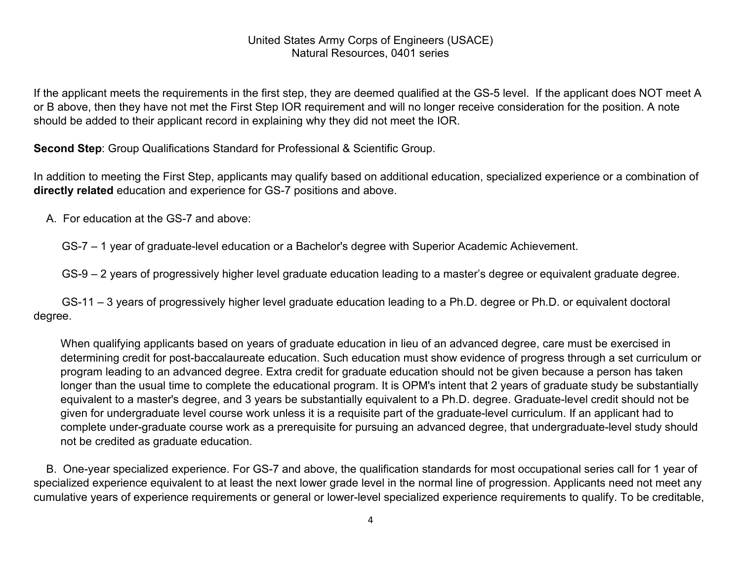If the applicant meets the requirements in the first step, they are deemed qualified at the GS-5 level. If the applicant does NOT meet A or B above, then they have not met the First Step IOR requirement and will no longer receive consideration for the position. A note should be added to their applicant record in explaining why they did not meet the IOR.

**Second Step**: Group Qualifications Standard for Professional & Scientific Group.

In addition to meeting the First Step, applicants may qualify based on additional education, specialized experience or a combination of **directly related** education and experience for GS-7 positions and above.

A. For education at the GS-7 and above:

GS-7 – 1 year of graduate-level education or a Bachelor's degree with Superior Academic Achievement.

GS-9 – 2 years of progressively higher level graduate education leading to a master's degree or equivalent graduate degree.

 GS-11 – 3 years of progressively higher level graduate education leading to a Ph.D. degree or Ph.D. or equivalent doctoral degree.

When qualifying applicants based on years of graduate education in lieu of an advanced degree, care must be exercised in determining credit for post-baccalaureate education. Such education must show evidence of progress through a set curriculum or program leading to an advanced degree. Extra credit for graduate education should not be given because a person has taken longer than the usual time to complete the educational program. It is OPM's intent that 2 years of graduate study be substantially equivalent to a master's degree, and 3 years be substantially equivalent to a Ph.D. degree. Graduate-level credit should not be given for undergraduate level course work unless it is a requisite part of the graduate-level curriculum. If an applicant had to complete under-graduate course work as a prerequisite for pursuing an advanced degree, that undergraduate-level study should not be credited as graduate education.

 B. One-year specialized experience. For GS-7 and above, the qualification standards for most occupational series call for 1 year of specialized experience equivalent to at least the next lower grade level in the normal line of progression. Applicants need not meet any cumulative years of experience requirements or general or lower-level specialized experience requirements to qualify. To be creditable,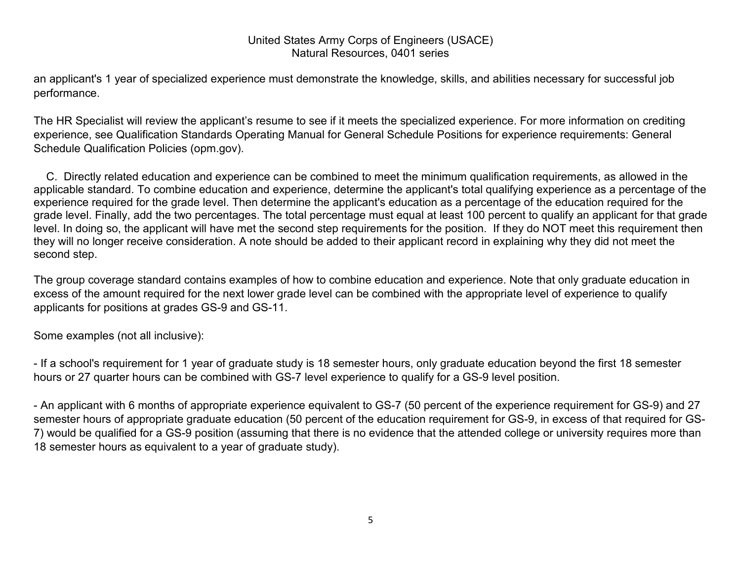an applicant's 1 year of specialized experience must demonstrate the knowledge, skills, and abilities necessary for successful job performance.

The HR Specialist will review the applicant's resume to see if it meets the specialized experience. For more information on crediting experience, see Qualification Standards Operating Manual for General Schedule Positions for experience requirements: General Schedule Qualification Policies (opm.gov).

 C. Directly related education and experience can be combined to meet the minimum qualification requirements, as allowed in the applicable standard. To combine education and experience, determine the applicant's total qualifying experience as a percentage of the experience required for the grade level. Then determine the applicant's education as a percentage of the education required for the grade level. Finally, add the two percentages. The total percentage must equal at least 100 percent to qualify an applicant for that grade level. In doing so, the applicant will have met the second step requirements for the position. If they do NOT meet this requirement then they will no longer receive consideration. A note should be added to their applicant record in explaining why they did not meet the second step.

The group coverage standard contains examples of how to combine education and experience. Note that only graduate education in excess of the amount required for the next lower grade level can be combined with the appropriate level of experience to qualify applicants for positions at grades GS-9 and GS-11.

Some examples (not all inclusive):

- If a school's requirement for 1 year of graduate study is 18 semester hours, only graduate education beyond the first 18 semester hours or 27 quarter hours can be combined with GS-7 level experience to qualify for a GS-9 level position.

- An applicant with 6 months of appropriate experience equivalent to GS-7 (50 percent of the experience requirement for GS-9) and 27 semester hours of appropriate graduate education (50 percent of the education requirement for GS-9, in excess of that required for GS-7) would be qualified for a GS-9 position (assuming that there is no evidence that the attended college or university requires more than 18 semester hours as equivalent to a year of graduate study).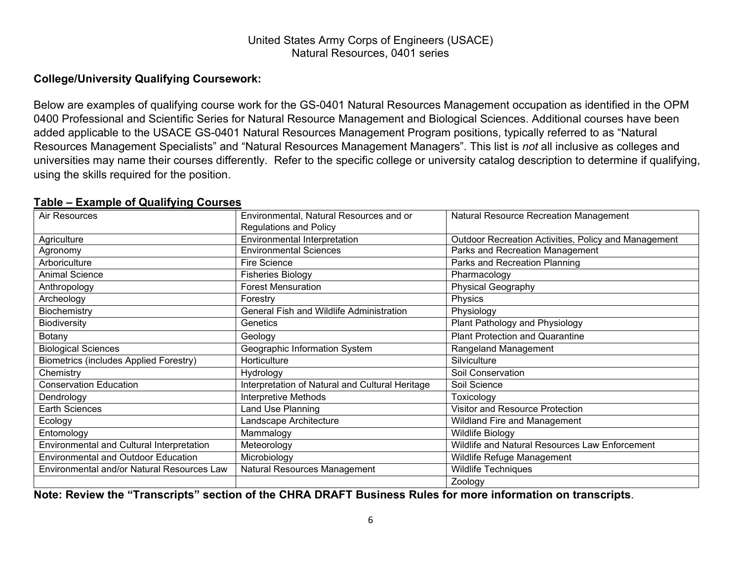# **College/University Qualifying Coursework:**

Below are examples of qualifying course work for the GS-0401 Natural Resources Management occupation as identified in the OPM 0400 Professional and Scientific Series for Natural Resource Management and Biological Sciences. Additional courses have been added applicable to the USACE GS-0401 Natural Resources Management Program positions, typically referred to as "Natural Resources Management Specialists" and "Natural Resources Management Managers". This list is *not* all inclusive as colleges and universities may name their courses differently. Refer to the specific college or university catalog description to determine if qualifying, using the skills required for the position.

#### **Table – Example of Qualifying Courses**

| Air Resources                                 | Environmental, Natural Resources and or         | <b>Natural Resource Recreation Management</b>        |
|-----------------------------------------------|-------------------------------------------------|------------------------------------------------------|
|                                               | <b>Regulations and Policy</b>                   |                                                      |
| Agriculture                                   | <b>Environmental Interpretation</b>             | Outdoor Recreation Activities, Policy and Management |
| Agronomy                                      | <b>Environmental Sciences</b>                   | Parks and Recreation Management                      |
| Arboriculture                                 | <b>Fire Science</b>                             | Parks and Recreation Planning                        |
| <b>Animal Science</b>                         | <b>Fisheries Biology</b>                        | Pharmacology                                         |
| Anthropology                                  | <b>Forest Mensuration</b>                       | <b>Physical Geography</b>                            |
| Archeology                                    | Forestry                                        | Physics                                              |
| Biochemistry                                  | General Fish and Wildlife Administration        | Physiology                                           |
| <b>Biodiversity</b>                           | <b>Genetics</b>                                 | Plant Pathology and Physiology                       |
| Botany                                        | Geology                                         | <b>Plant Protection and Quarantine</b>               |
| <b>Biological Sciences</b>                    | Geographic Information System                   | Rangeland Management                                 |
| <b>Biometrics (includes Applied Forestry)</b> | Horticulture                                    | Silviculture                                         |
| Chemistry                                     | Hydrology                                       | Soil Conservation                                    |
| <b>Conservation Education</b>                 | Interpretation of Natural and Cultural Heritage | Soil Science                                         |
| Dendrology                                    | <b>Interpretive Methods</b>                     | Toxicology                                           |
| <b>Earth Sciences</b>                         | Land Use Planning                               | Visitor and Resource Protection                      |
| Ecology                                       | Landscape Architecture                          | Wildland Fire and Management                         |
| Entomology                                    | Mammalogy                                       | <b>Wildlife Biology</b>                              |
| Environmental and Cultural Interpretation     | Meteorology                                     | Wildlife and Natural Resources Law Enforcement       |
| <b>Environmental and Outdoor Education</b>    | Microbiology                                    | Wildlife Refuge Management                           |
| Environmental and/or Natural Resources Law    | Natural Resources Management                    | Wildlife Techniques                                  |
|                                               |                                                 | Zoology                                              |

**Note: Review the "Transcripts" section of the CHRA DRAFT Business Rules for more information on transcripts**.